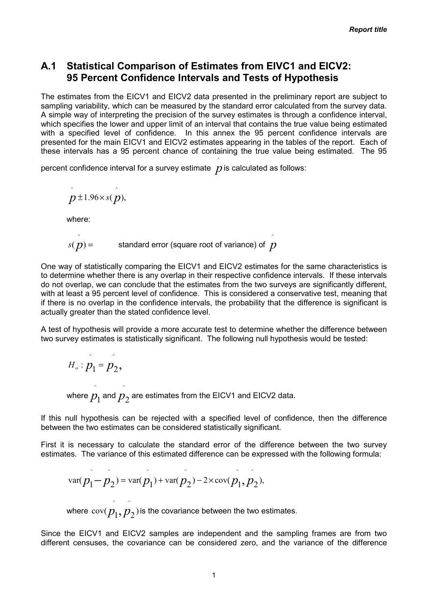# A.1 Statistical Comparison of Estimates from EIVC1 and EICV2: 95 Percent Confidence Intervals and Tests of Hypothesis

The estimates from the EICV1 and EICV2 data presented in the preliminary report are subject to sampling variability, which can be measured by the standard error calculated from the survey data. A simple way of interpreting the precision of the survey estimates is through a confidence interval, which specifies the lower and upper limit of an interval that contains the true value being estimated with a specified level of confidence. In this annex the 95 percent confidence intervals are presented for the main EICV1 and EICV2 estimates appearing in the tables of the report. Each of these intervals has a 95 percent chance of containing the true value being estimated. The 95

^

percent confidence interval for a survey estimate  $\,p$  is calculated as follows:

$$
\hat{p} \pm 1.96 \times s(\hat{p}),
$$

where:

 $\sim$ 

$$
s(p) =
$$
 standard error (square root of variance) of p

One way of statistically comparing the EICV1 and EICV2 estimates for the same characteristics is to determine whether there is any overlap in their respective confidence intervals. If these intervals do not overlap, we can conclude that the estimates from the two surveys are significantly different, with at least a 95 percent level of confidence. This is considered a conservative test, meaning that if there is no overlap in the confidence intervals, the probability that the difference is significant is actually greater than the stated confidence level.

^

A test of hypothesis will provide a more accurate test to determine whether the difference between two survey estimates is statistically significant. The following null hypothesis would be tested:

$$
H_o: \hat{p}_1 = \hat{p}_2,
$$
  
where  $\hat{p}_1$  and  $\hat{p}_2$  are estimates from the EICV1 and EICV2 data.

If this null hypothesis can be rejected with a specified level of confidence, then the difference between the two estimates can be considered statistically significant.

First it is necessary to calculate the standard error of the difference between the two survey estimates. The variance of this estimated difference can be expressed with the following formula:

var
$$
(p_1 - p_2) = \text{var}(p_1) + \text{var}(p_2) - 2 \times \text{cov}(p_1, p_2),
$$

 $\wedge$   $\wedge$ 

where  $\text{cov}(p_1, p_2)$  is the covariance between the two estimates.

Since the EICV1 and EICV2 samples are independent and the sampling frames are from two different censuses, the covariance can be considered zero, and the variance of the difference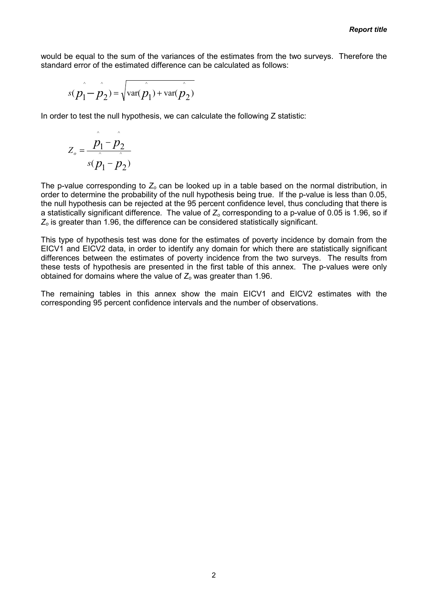would be equal to the sum of the variances of the estimates from the two surveys. Therefore the standard error of the estimated difference can be calculated as follows:

$$
s(\hat{p_1} - \hat{p_2}) = \sqrt{\text{var}(\hat{p_1}) + \text{var}(\hat{p_2})}
$$

In order to test the null hypothesis, we can calculate the following Z statistic:

$$
Z_o = \frac{p_1 - p_2}{s(p_1 - p_2)}
$$

 $\sim$   $\sim$ 

The p-value corresponding to  $Z_0$  can be looked up in a table based on the normal distribution, in order to determine the probability of the null hypothesis being true. If the p-value is less than 0.05, the null hypothesis can be rejected at the 95 percent confidence level, thus concluding that there is a statistically significant difference. The value of  $Z_0$  corresponding to a p-value of 0.05 is 1.96, so if  $Z<sub>o</sub>$  is greater than 1.96, the difference can be considered statistically significant.

This type of hypothesis test was done for the estimates of poverty incidence by domain from the EICV1 and EICV2 data, in order to identify any domain for which there are statistically significant differences between the estimates of poverty incidence from the two surveys. The results from these tests of hypothesis are presented in the first table of this annex. The p-values were only obtained for domains where the value of  $Z_0$  was greater than 1.96.

The remaining tables in this annex show the main EICV1 and EICV2 estimates with the corresponding 95 percent confidence intervals and the number of observations.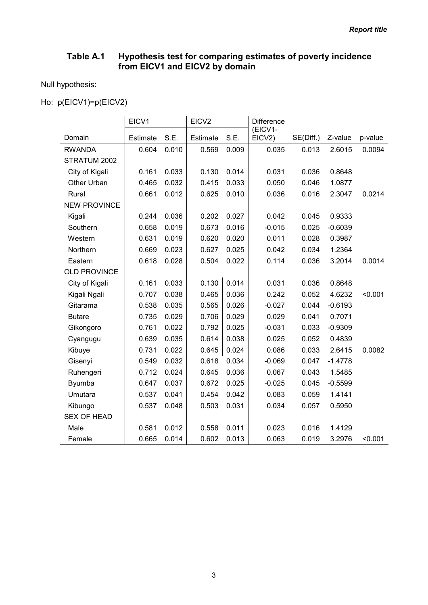### Table A.1 Hypothesis test for comparing estimates of poverty incidence from EICV1 and EICV2 by domain

Null hypothesis:

Ho: p(EICV1)=p(EICV2)

|                     | EICV1           |       | EICV <sub>2</sub> |       | <b>Difference</b> |           |           |         |
|---------------------|-----------------|-------|-------------------|-------|-------------------|-----------|-----------|---------|
| Domain              | <b>Estimate</b> | S.E.  | <b>Estimate</b>   | S.E.  | (EICV1-<br>EICV2) | SE(Diff.) | Z-value   | p-value |
| <b>RWANDA</b>       | 0.604           | 0.010 | 0.569             | 0.009 | 0.035             | 0.013     | 2.6015    | 0.0094  |
| STRATUM 2002        |                 |       |                   |       |                   |           |           |         |
| City of Kigali      | 0.161           | 0.033 | 0.130             | 0.014 | 0.031             | 0.036     | 0.8648    |         |
| Other Urban         | 0.465           | 0.032 | 0.415             | 0.033 | 0.050             | 0.046     | 1.0877    |         |
| Rural               | 0.661           | 0.012 | 0.625             | 0.010 | 0.036             | 0.016     | 2.3047    | 0.0214  |
| <b>NEW PROVINCE</b> |                 |       |                   |       |                   |           |           |         |
| Kigali              | 0.244           | 0.036 | 0.202             | 0.027 | 0.042             | 0.045     | 0.9333    |         |
| Southern            | 0.658           | 0.019 | 0.673             | 0.016 | $-0.015$          | 0.025     | $-0.6039$ |         |
| Western             | 0.631           | 0.019 | 0.620             | 0.020 | 0.011             | 0.028     | 0.3987    |         |
| Northern            | 0.669           | 0.023 | 0.627             | 0.025 | 0.042             | 0.034     | 1.2364    |         |
| Eastern             | 0.618           | 0.028 | 0.504             | 0.022 | 0.114             | 0.036     | 3.2014    | 0.0014  |
| <b>OLD PROVINCE</b> |                 |       |                   |       |                   |           |           |         |
| City of Kigali      | 0.161           | 0.033 | 0.130             | 0.014 | 0.031             | 0.036     | 0.8648    |         |
| Kigali Ngali        | 0.707           | 0.038 | 0.465             | 0.036 | 0.242             | 0.052     | 4.6232    | < 0.001 |
| Gitarama            | 0.538           | 0.035 | 0.565             | 0.026 | $-0.027$          | 0.044     | $-0.6193$ |         |
| <b>Butare</b>       | 0.735           | 0.029 | 0.706             | 0.029 | 0.029             | 0.041     | 0.7071    |         |
| Gikongoro           | 0.761           | 0.022 | 0.792             | 0.025 | $-0.031$          | 0.033     | $-0.9309$ |         |
| Cyangugu            | 0.639           | 0.035 | 0.614             | 0.038 | 0.025             | 0.052     | 0.4839    |         |
| Kibuye              | 0.731           | 0.022 | 0.645             | 0.024 | 0.086             | 0.033     | 2.6415    | 0.0082  |
| Gisenyi             | 0.549           | 0.032 | 0.618             | 0.034 | $-0.069$          | 0.047     | $-1.4778$ |         |
| Ruhengeri           | 0.712           | 0.024 | 0.645             | 0.036 | 0.067             | 0.043     | 1.5485    |         |
| Byumba              | 0.647           | 0.037 | 0.672             | 0.025 | $-0.025$          | 0.045     | $-0.5599$ |         |
| Umutara             | 0.537           | 0.041 | 0.454             | 0.042 | 0.083             | 0.059     | 1.4141    |         |
| Kibungo             | 0.537           | 0.048 | 0.503             | 0.031 | 0.034             | 0.057     | 0.5950    |         |
| <b>SEX OF HEAD</b>  |                 |       |                   |       |                   |           |           |         |
| Male                | 0.581           | 0.012 | 0.558             | 0.011 | 0.023             | 0.016     | 1.4129    |         |
| Female              | 0.665           | 0.014 | 0.602             | 0.013 | 0.063             | 0.019     | 3.2976    | < 0.001 |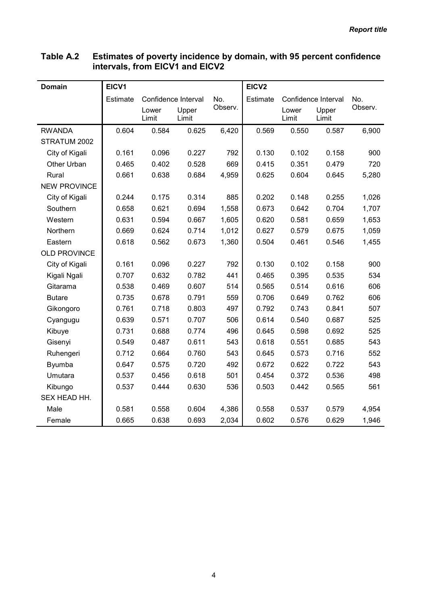| <b>Domain</b>       | EICV1           |                |                     |         | EICV <sub>2</sub> |                |                     |         |
|---------------------|-----------------|----------------|---------------------|---------|-------------------|----------------|---------------------|---------|
|                     | <b>Estimate</b> |                | Confidence Interval | No.     | Estimate          |                | Confidence Interval | No.     |
|                     |                 | Lower<br>Limit | Upper<br>Limit      | Observ. |                   | Lower<br>Limit | Upper<br>Limit      | Observ. |
| <b>RWANDA</b>       | 0.604           | 0.584          | 0.625               | 6,420   | 0.569             | 0.550          | 0.587               | 6,900   |
| STRATUM 2002        |                 |                |                     |         |                   |                |                     |         |
| City of Kigali      | 0.161           | 0.096          | 0.227               | 792     | 0.130             | 0.102          | 0.158               | 900     |
| Other Urban         | 0.465           | 0.402          | 0.528               | 669     | 0.415             | 0.351          | 0.479               | 720     |
| Rural               | 0.661           | 0.638          | 0.684               | 4,959   | 0.625             | 0.604          | 0.645               | 5,280   |
| <b>NEW PROVINCE</b> |                 |                |                     |         |                   |                |                     |         |
| City of Kigali      | 0.244           | 0.175          | 0.314               | 885     | 0.202             | 0.148          | 0.255               | 1,026   |
| Southern            | 0.658           | 0.621          | 0.694               | 1,558   | 0.673             | 0.642          | 0.704               | 1,707   |
| Western             | 0.631           | 0.594          | 0.667               | 1,605   | 0.620             | 0.581          | 0.659               | 1,653   |
| Northern            | 0.669           | 0.624          | 0.714               | 1,012   | 0.627             | 0.579          | 0.675               | 1,059   |
| Eastern             | 0.618           | 0.562          | 0.673               | 1,360   | 0.504             | 0.461          | 0.546               | 1,455   |
| <b>OLD PROVINCE</b> |                 |                |                     |         |                   |                |                     |         |
| City of Kigali      | 0.161           | 0.096          | 0.227               | 792     | 0.130             | 0.102          | 0.158               | 900     |
| Kigali Ngali        | 0.707           | 0.632          | 0.782               | 441     | 0.465             | 0.395          | 0.535               | 534     |
| Gitarama            | 0.538           | 0.469          | 0.607               | 514     | 0.565             | 0.514          | 0.616               | 606     |
| <b>Butare</b>       | 0.735           | 0.678          | 0.791               | 559     | 0.706             | 0.649          | 0.762               | 606     |
| Gikongoro           | 0.761           | 0.718          | 0.803               | 497     | 0.792             | 0.743          | 0.841               | 507     |
| Cyangugu            | 0.639           | 0.571          | 0.707               | 506     | 0.614             | 0.540          | 0.687               | 525     |
| Kibuye              | 0.731           | 0.688          | 0.774               | 496     | 0.645             | 0.598          | 0.692               | 525     |
| Gisenyi             | 0.549           | 0.487          | 0.611               | 543     | 0.618             | 0.551          | 0.685               | 543     |
| Ruhengeri           | 0.712           | 0.664          | 0.760               | 543     | 0.645             | 0.573          | 0.716               | 552     |
| <b>Byumba</b>       | 0.647           | 0.575          | 0.720               | 492     | 0.672             | 0.622          | 0.722               | 543     |
| Umutara             | 0.537           | 0.456          | 0.618               | 501     | 0.454             | 0.372          | 0.536               | 498     |
| Kibungo             | 0.537           | 0.444          | 0.630               | 536     | 0.503             | 0.442          | 0.565               | 561     |
| SEX HEAD HH.        |                 |                |                     |         |                   |                |                     |         |
| Male                | 0.581           | 0.558          | 0.604               | 4,386   | 0.558             | 0.537          | 0.579               | 4,954   |
| Female              | 0.665           | 0.638          | 0.693               | 2,034   | 0.602             | 0.576          | 0.629               | 1,946   |

#### Table A.2 Estimates of poverty incidence by domain, with 95 percent confidence intervals, from EICV1 and EICV2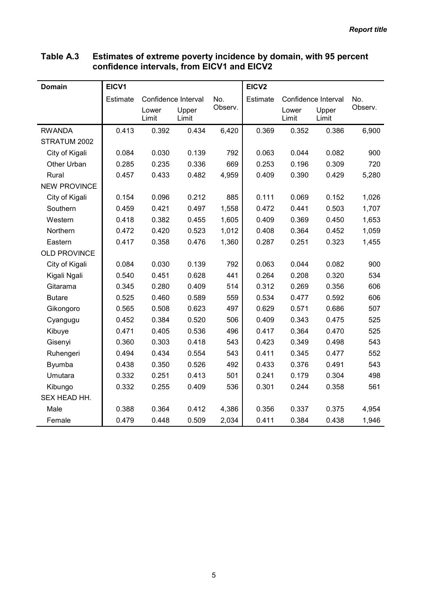| <b>Domain</b>       | EICV1    |                     |                |         | EICV <sub>2</sub> |                |                     |         |
|---------------------|----------|---------------------|----------------|---------|-------------------|----------------|---------------------|---------|
|                     | Estimate | Confidence Interval |                | No.     | Estimate          |                | Confidence Interval | No.     |
|                     |          | Lower<br>Limit      | Upper<br>Limit | Observ. |                   | Lower<br>Limit | Upper<br>Limit      | Observ. |
| <b>RWANDA</b>       | 0.413    | 0.392               | 0.434          | 6,420   | 0.369             | 0.352          | 0.386               | 6,900   |
| STRATUM 2002        |          |                     |                |         |                   |                |                     |         |
| City of Kigali      | 0.084    | 0.030               | 0.139          | 792     | 0.063             | 0.044          | 0.082               | 900     |
| Other Urban         | 0.285    | 0.235               | 0.336          | 669     | 0.253             | 0.196          | 0.309               | 720     |
| Rural               | 0.457    | 0.433               | 0.482          | 4,959   | 0.409             | 0.390          | 0.429               | 5,280   |
| <b>NEW PROVINCE</b> |          |                     |                |         |                   |                |                     |         |
| City of Kigali      | 0.154    | 0.096               | 0.212          | 885     | 0.111             | 0.069          | 0.152               | 1,026   |
| Southern            | 0.459    | 0.421               | 0.497          | 1,558   | 0.472             | 0.441          | 0.503               | 1,707   |
| Western             | 0.418    | 0.382               | 0.455          | 1,605   | 0.409             | 0.369          | 0.450               | 1,653   |
| Northern            | 0.472    | 0.420               | 0.523          | 1,012   | 0.408             | 0.364          | 0.452               | 1,059   |
| Eastern             | 0.417    | 0.358               | 0.476          | 1,360   | 0.287             | 0.251          | 0.323               | 1,455   |
| <b>OLD PROVINCE</b> |          |                     |                |         |                   |                |                     |         |
| City of Kigali      | 0.084    | 0.030               | 0.139          | 792     | 0.063             | 0.044          | 0.082               | 900     |
| Kigali Ngali        | 0.540    | 0.451               | 0.628          | 441     | 0.264             | 0.208          | 0.320               | 534     |
| Gitarama            | 0.345    | 0.280               | 0.409          | 514     | 0.312             | 0.269          | 0.356               | 606     |
| <b>Butare</b>       | 0.525    | 0.460               | 0.589          | 559     | 0.534             | 0.477          | 0.592               | 606     |
| Gikongoro           | 0.565    | 0.508               | 0.623          | 497     | 0.629             | 0.571          | 0.686               | 507     |
| Cyangugu            | 0.452    | 0.384               | 0.520          | 506     | 0.409             | 0.343          | 0.475               | 525     |
| Kibuye              | 0.471    | 0.405               | 0.536          | 496     | 0.417             | 0.364          | 0.470               | 525     |
| Gisenyi             | 0.360    | 0.303               | 0.418          | 543     | 0.423             | 0.349          | 0.498               | 543     |
| Ruhengeri           | 0.494    | 0.434               | 0.554          | 543     | 0.411             | 0.345          | 0.477               | 552     |
| Byumba              | 0.438    | 0.350               | 0.526          | 492     | 0.433             | 0.376          | 0.491               | 543     |
| Umutara             | 0.332    | 0.251               | 0.413          | 501     | 0.241             | 0.179          | 0.304               | 498     |
| Kibungo             | 0.332    | 0.255               | 0.409          | 536     | 0.301             | 0.244          | 0.358               | 561     |
| SEX HEAD HH.        |          |                     |                |         |                   |                |                     |         |
| Male                | 0.388    | 0.364               | 0.412          | 4,386   | 0.356             | 0.337          | 0.375               | 4,954   |
| Female              | 0.479    | 0.448               | 0.509          | 2,034   | 0.411             | 0.384          | 0.438               | 1,946   |

#### Table A.3 Estimates of extreme poverty incidence by domain, with 95 percent confidence intervals, from EICV1 and EICV2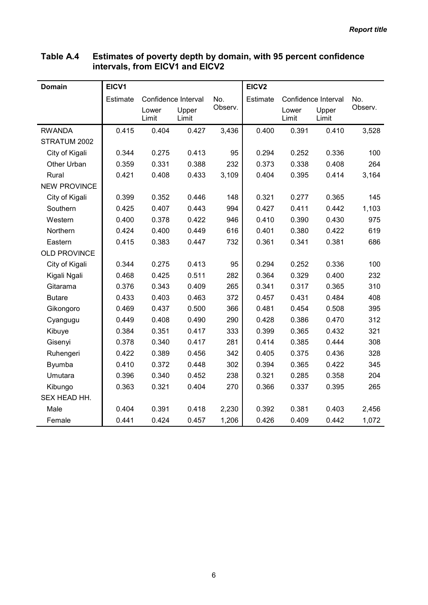| <b>Domain</b>       | EICV1    |                |                     |         | EICV <sub>2</sub> |                |                     |         |
|---------------------|----------|----------------|---------------------|---------|-------------------|----------------|---------------------|---------|
|                     | Estimate |                | Confidence Interval | No.     | <b>Estimate</b>   |                | Confidence Interval | No.     |
|                     |          | Lower<br>Limit | Upper<br>Limit      | Observ. |                   | Lower<br>Limit | Upper<br>Limit      | Observ. |
| <b>RWANDA</b>       | 0.415    | 0.404          | 0.427               | 3,436   | 0.400             | 0.391          | 0.410               | 3,528   |
| STRATUM 2002        |          |                |                     |         |                   |                |                     |         |
| City of Kigali      | 0.344    | 0.275          | 0.413               | 95      | 0.294             | 0.252          | 0.336               | 100     |
| Other Urban         | 0.359    | 0.331          | 0.388               | 232     | 0.373             | 0.338          | 0.408               | 264     |
| Rural               | 0.421    | 0.408          | 0.433               | 3,109   | 0.404             | 0.395          | 0.414               | 3,164   |
| <b>NEW PROVINCE</b> |          |                |                     |         |                   |                |                     |         |
| City of Kigali      | 0.399    | 0.352          | 0.446               | 148     | 0.321             | 0.277          | 0.365               | 145     |
| Southern            | 0.425    | 0.407          | 0.443               | 994     | 0.427             | 0.411          | 0.442               | 1,103   |
| Western             | 0.400    | 0.378          | 0.422               | 946     | 0.410             | 0.390          | 0.430               | 975     |
| Northern            | 0.424    | 0.400          | 0.449               | 616     | 0.401             | 0.380          | 0.422               | 619     |
| Eastern             | 0.415    | 0.383          | 0.447               | 732     | 0.361             | 0.341          | 0.381               | 686     |
| <b>OLD PROVINCE</b> |          |                |                     |         |                   |                |                     |         |
| City of Kigali      | 0.344    | 0.275          | 0.413               | 95      | 0.294             | 0.252          | 0.336               | 100     |
| Kigali Ngali        | 0.468    | 0.425          | 0.511               | 282     | 0.364             | 0.329          | 0.400               | 232     |
| Gitarama            | 0.376    | 0.343          | 0.409               | 265     | 0.341             | 0.317          | 0.365               | 310     |
| <b>Butare</b>       | 0.433    | 0.403          | 0.463               | 372     | 0.457             | 0.431          | 0.484               | 408     |
| Gikongoro           | 0.469    | 0.437          | 0.500               | 366     | 0.481             | 0.454          | 0.508               | 395     |
| Cyangugu            | 0.449    | 0.408          | 0.490               | 290     | 0.428             | 0.386          | 0.470               | 312     |
| Kibuye              | 0.384    | 0.351          | 0.417               | 333     | 0.399             | 0.365          | 0.432               | 321     |
| Gisenyi             | 0.378    | 0.340          | 0.417               | 281     | 0.414             | 0.385          | 0.444               | 308     |
| Ruhengeri           | 0.422    | 0.389          | 0.456               | 342     | 0.405             | 0.375          | 0.436               | 328     |
| Byumba              | 0.410    | 0.372          | 0.448               | 302     | 0.394             | 0.365          | 0.422               | 345     |
| Umutara             | 0.396    | 0.340          | 0.452               | 238     | 0.321             | 0.285          | 0.358               | 204     |
| Kibungo             | 0.363    | 0.321          | 0.404               | 270     | 0.366             | 0.337          | 0.395               | 265     |
| SEX HEAD HH.        |          |                |                     |         |                   |                |                     |         |
| Male                | 0.404    | 0.391          | 0.418               | 2,230   | 0.392             | 0.381          | 0.403               | 2,456   |
| Female              | 0.441    | 0.424          | 0.457               | 1,206   | 0.426             | 0.409          | 0.442               | 1,072   |

#### Table A.4 Estimates of poverty depth by domain, with 95 percent confidence intervals, from EICV1 and EICV2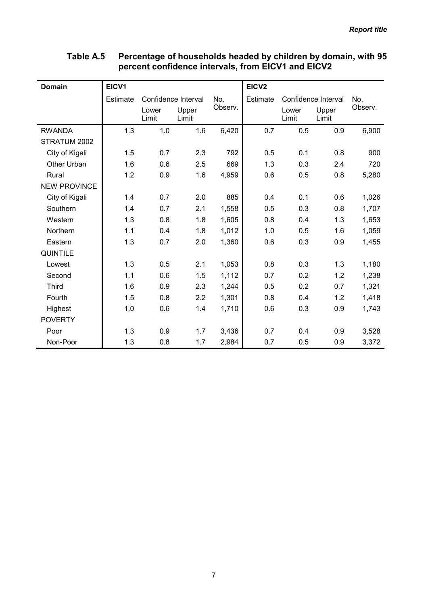| <b>Domain</b>       | EICV1    |                     |                |         | EICV <sub>2</sub> |                     |                |         |
|---------------------|----------|---------------------|----------------|---------|-------------------|---------------------|----------------|---------|
|                     | Estimate | Confidence Interval |                | No.     | Estimate          | Confidence Interval |                | No.     |
|                     |          | Lower<br>Limit      | Upper<br>Limit | Observ. |                   | Lower<br>Limit      | Upper<br>Limit | Observ. |
| <b>RWANDA</b>       | 1.3      | 1.0                 | 1.6            | 6,420   | 0.7               | 0.5                 | 0.9            | 6,900   |
| STRATUM 2002        |          |                     |                |         |                   |                     |                |         |
| City of Kigali      | 1.5      | 0.7                 | 2.3            | 792     | 0.5               | 0.1                 | 0.8            | 900     |
| Other Urban         | 1.6      | 0.6                 | 2.5            | 669     | 1.3               | 0.3                 | 2.4            | 720     |
| Rural               | 1.2      | 0.9                 | 1.6            | 4,959   | 0.6               | 0.5                 | 0.8            | 5,280   |
| <b>NEW PROVINCE</b> |          |                     |                |         |                   |                     |                |         |
| City of Kigali      | 1.4      | 0.7                 | 2.0            | 885     | 0.4               | 0.1                 | 0.6            | 1,026   |
| Southern            | 1.4      | 0.7                 | 2.1            | 1,558   | 0.5               | 0.3                 | 0.8            | 1,707   |
| Western             | 1.3      | 0.8                 | 1.8            | 1,605   | 0.8               | 0.4                 | 1.3            | 1,653   |
| Northern            | 1.1      | 0.4                 | 1.8            | 1,012   | 1.0               | 0.5                 | 1.6            | 1,059   |
| Eastern             | 1.3      | 0.7                 | 2.0            | 1,360   | 0.6               | 0.3                 | 0.9            | 1,455   |
| <b>QUINTILE</b>     |          |                     |                |         |                   |                     |                |         |
| Lowest              | 1.3      | 0.5                 | 2.1            | 1,053   | 0.8               | 0.3                 | 1.3            | 1,180   |
| Second              | 1.1      | 0.6                 | 1.5            | 1,112   | 0.7               | 0.2                 | 1.2            | 1,238   |
| <b>Third</b>        | 1.6      | 0.9                 | 2.3            | 1,244   | 0.5               | 0.2                 | 0.7            | 1,321   |
| Fourth              | 1.5      | 0.8                 | 2.2            | 1,301   | 0.8               | 0.4                 | 1.2            | 1,418   |
| Highest             | 1.0      | 0.6                 | 1.4            | 1,710   | 0.6               | 0.3                 | 0.9            | 1,743   |
| <b>POVERTY</b>      |          |                     |                |         |                   |                     |                |         |
| Poor                | 1.3      | 0.9                 | 1.7            | 3,436   | 0.7               | 0.4                 | 0.9            | 3,528   |
| Non-Poor            | 1.3      | 0.8                 | 1.7            | 2,984   | 0.7               | 0.5                 | 0.9            | 3,372   |

### Table A.5 Percentage of households headed by children by domain, with 95 percent confidence intervals, from EICV1 and EICV2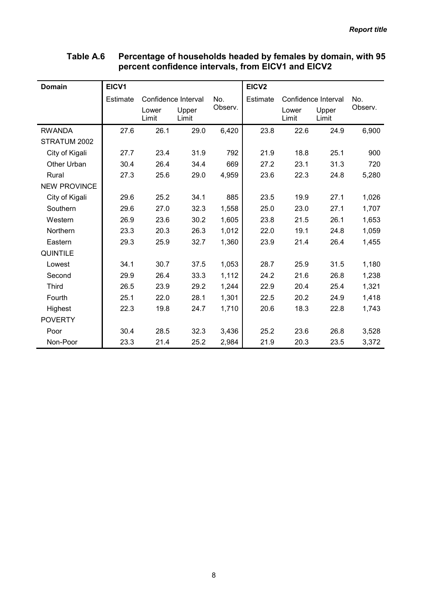| <b>Domain</b>       | EICV1           |                |                     |         | EICV <sub>2</sub> |                |                     |         |
|---------------------|-----------------|----------------|---------------------|---------|-------------------|----------------|---------------------|---------|
|                     | <b>Estimate</b> |                | Confidence Interval | No.     | Estimate          |                | Confidence Interval | No.     |
|                     |                 | Lower<br>Limit | Upper<br>Limit      | Observ. |                   | Lower<br>Limit | Upper<br>Limit      | Observ. |
| <b>RWANDA</b>       | 27.6            | 26.1           | 29.0                | 6,420   | 23.8              | 22.6           | 24.9                | 6,900   |
| STRATUM 2002        |                 |                |                     |         |                   |                |                     |         |
| City of Kigali      | 27.7            | 23.4           | 31.9                | 792     | 21.9              | 18.8           | 25.1                | 900     |
| Other Urban         | 30.4            | 26.4           | 34.4                | 669     | 27.2              | 23.1           | 31.3                | 720     |
| Rural               | 27.3            | 25.6           | 29.0                | 4,959   | 23.6              | 22.3           | 24.8                | 5,280   |
| <b>NEW PROVINCE</b> |                 |                |                     |         |                   |                |                     |         |
| City of Kigali      | 29.6            | 25.2           | 34.1                | 885     | 23.5              | 19.9           | 27.1                | 1,026   |
| Southern            | 29.6            | 27.0           | 32.3                | 1,558   | 25.0              | 23.0           | 27.1                | 1,707   |
| Western             | 26.9            | 23.6           | 30.2                | 1,605   | 23.8              | 21.5           | 26.1                | 1,653   |
| Northern            | 23.3            | 20.3           | 26.3                | 1,012   | 22.0              | 19.1           | 24.8                | 1,059   |
| Eastern             | 29.3            | 25.9           | 32.7                | 1,360   | 23.9              | 21.4           | 26.4                | 1,455   |
| <b>QUINTILE</b>     |                 |                |                     |         |                   |                |                     |         |
| Lowest              | 34.1            | 30.7           | 37.5                | 1,053   | 28.7              | 25.9           | 31.5                | 1,180   |
| Second              | 29.9            | 26.4           | 33.3                | 1,112   | 24.2              | 21.6           | 26.8                | 1,238   |
| <b>Third</b>        | 26.5            | 23.9           | 29.2                | 1,244   | 22.9              | 20.4           | 25.4                | 1,321   |
| Fourth              | 25.1            | 22.0           | 28.1                | 1,301   | 22.5              | 20.2           | 24.9                | 1,418   |
| Highest             | 22.3            | 19.8           | 24.7                | 1,710   | 20.6              | 18.3           | 22.8                | 1,743   |
| <b>POVERTY</b>      |                 |                |                     |         |                   |                |                     |         |
| Poor                | 30.4            | 28.5           | 32.3                | 3,436   | 25.2              | 23.6           | 26.8                | 3,528   |
| Non-Poor            | 23.3            | 21.4           | 25.2                | 2,984   | 21.9              | 20.3           | 23.5                | 3,372   |

### Table A.6 Percentage of households headed by females by domain, with 95 percent confidence intervals, from EICV1 and EICV2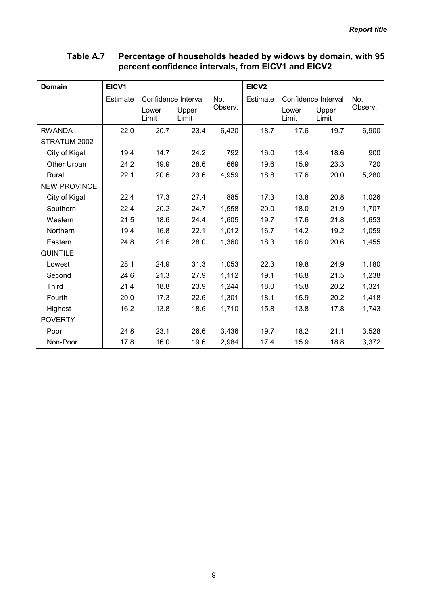| <b>Domain</b>       | EICV1           |                |                     |         | EICV <sub>2</sub> |                |                     |         |
|---------------------|-----------------|----------------|---------------------|---------|-------------------|----------------|---------------------|---------|
|                     | <b>Estimate</b> |                | Confidence Interval | No.     | Estimate          |                | Confidence Interval | No.     |
|                     |                 | Lower<br>Limit | Upper<br>Limit      | Observ. |                   | Lower<br>Limit | Upper<br>Limit      | Observ. |
| <b>RWANDA</b>       | 22.0            | 20.7           | 23.4                | 6,420   | 18.7              | 17.6           | 19.7                | 6,900   |
| STRATUM 2002        |                 |                |                     |         |                   |                |                     |         |
| City of Kigali      | 19.4            | 14.7           | 24.2                | 792     | 16.0              | 13.4           | 18.6                | 900     |
| Other Urban         | 24.2            | 19.9           | 28.6                | 669     | 19.6              | 15.9           | 23.3                | 720     |
| Rural               | 22.1            | 20.6           | 23.6                | 4,959   | 18.8              | 17.6           | 20.0                | 5,280   |
| <b>NEW PROVINCE</b> |                 |                |                     |         |                   |                |                     |         |
| City of Kigali      | 22.4            | 17.3           | 27.4                | 885     | 17.3              | 13.8           | 20.8                | 1,026   |
| Southern            | 22.4            | 20.2           | 24.7                | 1,558   | 20.0              | 18.0           | 21.9                | 1,707   |
| Western             | 21.5            | 18.6           | 24.4                | 1,605   | 19.7              | 17.6           | 21.8                | 1,653   |
| Northern            | 19.4            | 16.8           | 22.1                | 1,012   | 16.7              | 14.2           | 19.2                | 1,059   |
| Eastern             | 24.8            | 21.6           | 28.0                | 1,360   | 18.3              | 16.0           | 20.6                | 1,455   |
| <b>QUINTILE</b>     |                 |                |                     |         |                   |                |                     |         |
| Lowest              | 28.1            | 24.9           | 31.3                | 1,053   | 22.3              | 19.8           | 24.9                | 1,180   |
| Second              | 24.6            | 21.3           | 27.9                | 1,112   | 19.1              | 16.8           | 21.5                | 1,238   |
| <b>Third</b>        | 21.4            | 18.8           | 23.9                | 1,244   | 18.0              | 15.8           | 20.2                | 1,321   |
| Fourth              | 20.0            | 17.3           | 22.6                | 1,301   | 18.1              | 15.9           | 20.2                | 1,418   |
| Highest             | 16.2            | 13.8           | 18.6                | 1,710   | 15.8              | 13.8           | 17.8                | 1,743   |
| <b>POVERTY</b>      |                 |                |                     |         |                   |                |                     |         |
| Poor                | 24.8            | 23.1           | 26.6                | 3,436   | 19.7              | 18.2           | 21.1                | 3,528   |
| Non-Poor            | 17.8            | 16.0           | 19.6                | 2,984   | 17.4              | 15.9           | 18.8                | 3,372   |

### Table A.7 Percentage of households headed by widows by domain, with 95 percent confidence intervals, from EICV1 and EICV2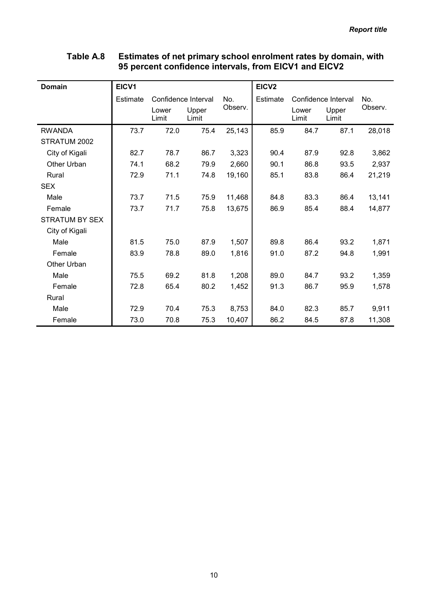## Table A.8 Estimates of net primary school enrolment rates by domain, with 95 percent confidence intervals, from EICV1 and EICV2

| Domain                | EICV1    |                     |                |         | EICV <sub>2</sub> |                |                     |         |
|-----------------------|----------|---------------------|----------------|---------|-------------------|----------------|---------------------|---------|
|                       | Estimate | Confidence Interval |                | No.     | Estimate          |                | Confidence Interval | No.     |
|                       |          | Lower<br>Limit      | Upper<br>Limit | Observ. |                   | Lower<br>Limit | Upper<br>Limit      | Observ. |
| <b>RWANDA</b>         | 73.7     | 72.0                | 75.4           | 25,143  | 85.9              | 84.7           | 87.1                | 28,018  |
| STRATUM 2002          |          |                     |                |         |                   |                |                     |         |
| City of Kigali        | 82.7     | 78.7                | 86.7           | 3,323   | 90.4              | 87.9           | 92.8                | 3,862   |
| Other Urban           | 74.1     | 68.2                | 79.9           | 2,660   | 90.1              | 86.8           | 93.5                | 2,937   |
| Rural                 | 72.9     | 71.1                | 74.8           | 19,160  | 85.1              | 83.8           | 86.4                | 21,219  |
| <b>SEX</b>            |          |                     |                |         |                   |                |                     |         |
| Male                  | 73.7     | 71.5                | 75.9           | 11,468  | 84.8              | 83.3           | 86.4                | 13,141  |
| Female                | 73.7     | 71.7                | 75.8           | 13,675  | 86.9              | 85.4           | 88.4                | 14,877  |
| <b>STRATUM BY SEX</b> |          |                     |                |         |                   |                |                     |         |
| City of Kigali        |          |                     |                |         |                   |                |                     |         |
| Male                  | 81.5     | 75.0                | 87.9           | 1,507   | 89.8              | 86.4           | 93.2                | 1,871   |
| Female                | 83.9     | 78.8                | 89.0           | 1,816   | 91.0              | 87.2           | 94.8                | 1,991   |
| Other Urban           |          |                     |                |         |                   |                |                     |         |
| Male                  | 75.5     | 69.2                | 81.8           | 1,208   | 89.0              | 84.7           | 93.2                | 1,359   |
| Female                | 72.8     | 65.4                | 80.2           | 1,452   | 91.3              | 86.7           | 95.9                | 1,578   |
| Rural                 |          |                     |                |         |                   |                |                     |         |
| Male                  | 72.9     | 70.4                | 75.3           | 8,753   | 84.0              | 82.3           | 85.7                | 9,911   |
| Female                | 73.0     | 70.8                | 75.3           | 10,407  | 86.2              | 84.5           | 87.8                | 11,308  |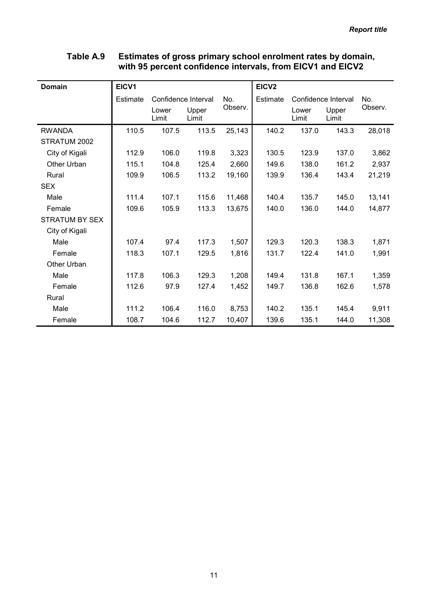|                       |                 |                | <u>WILIT JU PETCENT COMMUNICE MILET VAIS, HOMELO V FANU LIO V Z</u> |         |                   |                |                     |         |
|-----------------------|-----------------|----------------|---------------------------------------------------------------------|---------|-------------------|----------------|---------------------|---------|
| <b>Domain</b>         | EICV1           |                |                                                                     |         | EICV <sub>2</sub> |                |                     |         |
|                       | <b>Estimate</b> |                | Confidence Interval                                                 | No.     | Estimate          |                | Confidence Interval | No.     |
|                       |                 | Lower<br>Limit | Upper<br>Limit                                                      | Observ. |                   | Lower<br>Limit | Upper<br>Limit      | Observ. |
| <b>RWANDA</b>         | 110.5           | 107.5          | 113.5                                                               | 25,143  | 140.2             | 137.0          | 143.3               | 28,018  |
| STRATUM 2002          |                 |                |                                                                     |         |                   |                |                     |         |
| City of Kigali        | 112.9           | 106.0          | 119.8                                                               | 3,323   | 130.5             | 123.9          | 137.0               | 3,862   |
| Other Urban           | 115.1           | 104.8          | 125.4                                                               | 2,660   | 149.6             | 138.0          | 161.2               | 2,937   |
| Rural                 | 109.9           | 106.5          | 113.2                                                               | 19,160  | 139.9             | 136.4          | 143.4               | 21,219  |
| <b>SEX</b>            |                 |                |                                                                     |         |                   |                |                     |         |
| Male                  | 111.4           | 107.1          | 115.6                                                               | 11,468  | 140.4             | 135.7          | 145.0               | 13,141  |
| Female                | 109.6           | 105.9          | 113.3                                                               | 13,675  | 140.0             | 136.0          | 144.0               | 14,877  |
| <b>STRATUM BY SEX</b> |                 |                |                                                                     |         |                   |                |                     |         |
| City of Kigali        |                 |                |                                                                     |         |                   |                |                     |         |
| Male                  | 107.4           | 97.4           | 117.3                                                               | 1,507   | 129.3             | 120.3          | 138.3               | 1,871   |
| Female                | 118.3           | 107.1          | 129.5                                                               | 1,816   | 131.7             | 122.4          | 141.0               | 1,991   |
| Other Urban           |                 |                |                                                                     |         |                   |                |                     |         |
| Male                  | 117.8           | 106.3          | 129.3                                                               | 1,208   | 149.4             | 131.8          | 167.1               | 1,359   |
| Female                | 112.6           | 97.9           | 127.4                                                               | 1,452   | 149.7             | 136.8          | 162.6               | 1,578   |
| Rural                 |                 |                |                                                                     |         |                   |                |                     |         |
| Male                  | 111.2           | 106.4          | 116.0                                                               | 8,753   | 140.2             | 135.1          | 145.4               | 9,911   |
| Female                | 108.7           | 104.6          | 112.7                                                               | 10,407  | 139.6             | 135.1          | 144.0               | 11,308  |

# Table A.9 Estimates of gross primary school enrolment rates by domain, with 95 percent confidence intervals, from EICV1 and EICV2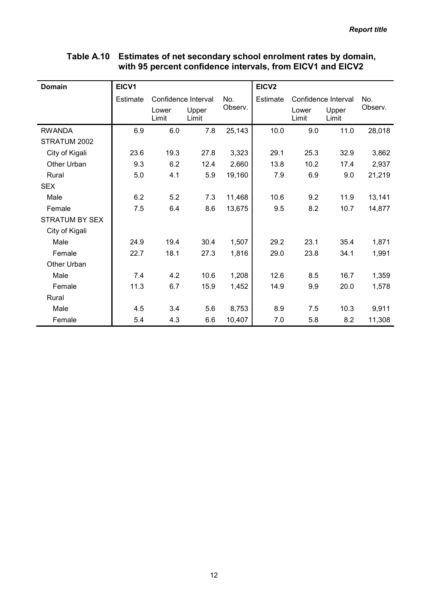| <b>Domain</b>         | EICV1    |                |                            |         | EICV <sub>2</sub> |                |                     |         |
|-----------------------|----------|----------------|----------------------------|---------|-------------------|----------------|---------------------|---------|
|                       | Estimate |                | Confidence Interval<br>No. |         | Estimate          |                | Confidence Interval | No.     |
|                       |          | Lower<br>Limit | Upper<br>Limit             | Observ. |                   | Lower<br>Limit | Upper<br>Limit      | Observ. |
| <b>RWANDA</b>         | 6.9      | 6.0            | 7.8                        | 25,143  | 10.0              | 9.0            | 11.0                | 28,018  |
| STRATUM 2002          |          |                |                            |         |                   |                |                     |         |
| City of Kigali        | 23.6     | 19.3           | 27.8                       | 3,323   | 29.1              | 25.3           | 32.9                | 3,862   |
| Other Urban           | 9.3      | 6.2            | 12.4                       | 2,660   | 13.8              | 10.2           | 17.4                | 2,937   |
| Rural                 | 5.0      | 4.1            | 5.9                        | 19,160  | 7.9               | 6.9            | 9.0                 | 21,219  |
| <b>SEX</b>            |          |                |                            |         |                   |                |                     |         |
| Male                  | 6.2      | 5.2            | 7.3                        | 11,468  | 10.6              | 9.2            | 11.9                | 13,141  |
| Female                | 7.5      | 6.4            | 8.6                        | 13,675  | 9.5               | 8.2            | 10.7                | 14,877  |
| <b>STRATUM BY SEX</b> |          |                |                            |         |                   |                |                     |         |
| City of Kigali        |          |                |                            |         |                   |                |                     |         |
| Male                  | 24.9     | 19.4           | 30.4                       | 1,507   | 29.2              | 23.1           | 35.4                | 1,871   |
| Female                | 22.7     | 18.1           | 27.3                       | 1,816   | 29.0              | 23.8           | 34.1                | 1,991   |
| Other Urban           |          |                |                            |         |                   |                |                     |         |
| Male                  | 7.4      | 4.2            | 10.6                       | 1,208   | 12.6              | 8.5            | 16.7                | 1,359   |
| Female                | 11.3     | 6.7            | 15.9                       | 1,452   | 14.9              | 9.9            | 20.0                | 1,578   |
| Rural                 |          |                |                            |         |                   |                |                     |         |
| Male                  | 4.5      | 3.4            | 5.6                        | 8,753   | 8.9               | 7.5            | 10.3                | 9,911   |
| Female                | 5.4      | 4.3            | 6.6                        | 10,407  | 7.0               | 5.8            | 8.2                 | 11,308  |

## Table A.10 Estimates of net secondary school enrolment rates by domain, with 95 percent confidence intervals, from EICV1 and EICV2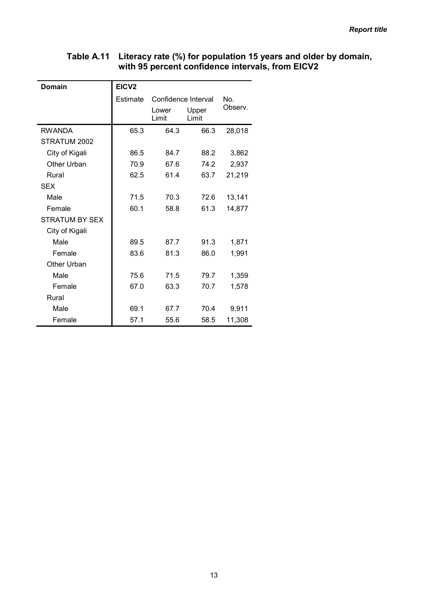### Table A.11 Literacy rate (%) for population 15 years and older by domain, with 95 percent confidence intervals, from EICV2

| <b>Domain</b>      | EICV <sub>2</sub> |                     |                |         |  |  |  |
|--------------------|-------------------|---------------------|----------------|---------|--|--|--|
|                    | <b>Estimate</b>   | Confidence Interval |                | No.     |  |  |  |
|                    |                   | Lower<br>Limit      | Upper<br>Limit | Observ. |  |  |  |
| <b>RWANDA</b>      | 65.3              | 64.3                | 66.3           | 28,018  |  |  |  |
| STRATUM 2002       |                   |                     |                |         |  |  |  |
| City of Kigali     | 86.5              | 84.7                | 88.2           | 3,862   |  |  |  |
| Other Urban        | 70.9              | 67.6                | 74.2           | 2,937   |  |  |  |
| Rural              | 62.5              | 61.4                | 63.7           | 21,219  |  |  |  |
| <b>SEX</b>         |                   |                     |                |         |  |  |  |
| Male               | 71.5              | 70.3                | 72.6           | 13,141  |  |  |  |
| Female             | 60.1              | 58.8                | 61.3           | 14,877  |  |  |  |
| STRATUM BY SEX     |                   |                     |                |         |  |  |  |
| City of Kigali     |                   |                     |                |         |  |  |  |
| Male               | 89.5              | 87.7                | 91.3           | 1,871   |  |  |  |
| Female             | 83.6              | 81.3                | 86.0           | 1,991   |  |  |  |
| <b>Other Urban</b> |                   |                     |                |         |  |  |  |
| Male               | 75.6              | 71.5                | 79.7           | 1,359   |  |  |  |
| Female             | 67.0              | 63.3                | 70.7           | 1,578   |  |  |  |
| Rural              |                   |                     |                |         |  |  |  |
| Male               | 69.1              | 67.7                | 70.4           | 9,911   |  |  |  |
| Female             | 57.1              | 55.6                | 58.5           | 11,308  |  |  |  |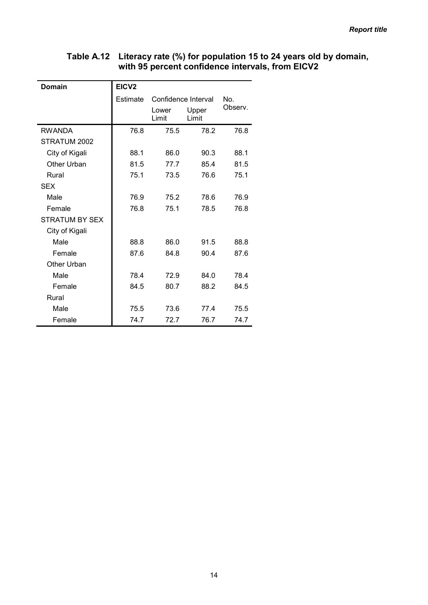### Table A.12 Literacy rate (%) for population 15 to 24 years old by domain, with 95 percent confidence intervals, from EICV2

| <b>Domain</b>         | EICV <sub>2</sub> |                     |                |         |  |  |  |
|-----------------------|-------------------|---------------------|----------------|---------|--|--|--|
|                       | <b>Estimate</b>   | Confidence Interval |                | No.     |  |  |  |
|                       |                   | Lower<br>Limit      | Upper<br>Limit | Observ. |  |  |  |
| <b>RWANDA</b>         | 76.8              | 75.5                | 78.2           | 76.8    |  |  |  |
| STRATUM 2002          |                   |                     |                |         |  |  |  |
| City of Kigali        | 88.1              | 86.0                | 90.3           | 88.1    |  |  |  |
| Other Urban           | 81.5              | 77.7                | 85.4           | 81.5    |  |  |  |
| Rural                 | 75.1              | 73.5                | 76.6           | 75.1    |  |  |  |
| <b>SEX</b>            |                   |                     |                |         |  |  |  |
| Male                  | 76.9              | 75.2                | 78.6           | 76.9    |  |  |  |
| Female                | 76.8              | 75.1                | 78.5           | 76.8    |  |  |  |
| <b>STRATUM BY SEX</b> |                   |                     |                |         |  |  |  |
| City of Kigali        |                   |                     |                |         |  |  |  |
| Male                  | 88.8              | 86.0                | 91.5           | 88.8    |  |  |  |
| Female                | 87.6              | 84.8                | 90.4           | 87.6    |  |  |  |
| Other Urban           |                   |                     |                |         |  |  |  |
| Male                  | 78.4              | 72.9                | 84.0           | 78.4    |  |  |  |
| Female                | 84.5              | 80.7                | 88.2           | 84.5    |  |  |  |
| Rural                 |                   |                     |                |         |  |  |  |
| Male                  | 75.5              | 73.6                | 77.4           | 75.5    |  |  |  |
| Female                | 74.7              | 72.7                | 76.7           | 74.7    |  |  |  |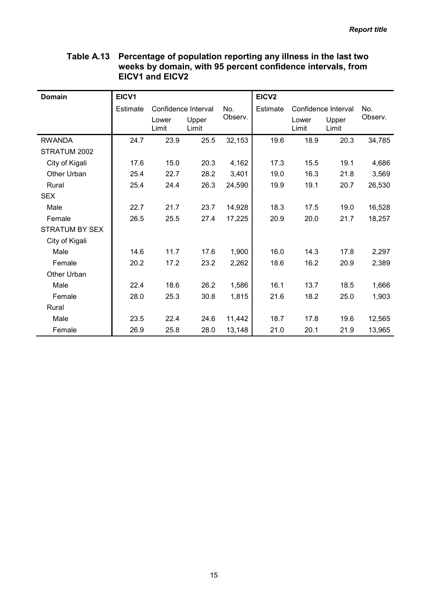|                       |                 | ∟IV V I UIIV ∟IV V <i>L</i> |                |         |                   |                |                     |         |
|-----------------------|-----------------|-----------------------------|----------------|---------|-------------------|----------------|---------------------|---------|
| <b>Domain</b>         | EICV1           |                             |                |         | EICV <sub>2</sub> |                |                     |         |
|                       | <b>Estimate</b> | Confidence Interval         |                | No.     | Estimate          |                | Confidence Interval | No.     |
|                       |                 | Lower<br>Limit              | Upper<br>Limit | Observ. |                   | Lower<br>Limit | Upper<br>Limit      | Observ. |
| <b>RWANDA</b>         | 24.7            | 23.9                        | 25.5           | 32,153  | 19.6              | 18.9           | 20.3                | 34,785  |
| STRATUM 2002          |                 |                             |                |         |                   |                |                     |         |
| City of Kigali        | 17.6            | 15.0                        | 20.3           | 4,162   | 17.3              | 15.5           | 19.1                | 4,686   |
| Other Urban           | 25.4            | 22.7                        | 28.2           | 3,401   | 19.0              | 16.3           | 21.8                | 3,569   |
| Rural                 | 25.4            | 24.4                        | 26.3           | 24,590  | 19.9              | 19.1           | 20.7                | 26,530  |
| <b>SEX</b>            |                 |                             |                |         |                   |                |                     |         |
| Male                  | 22.7            | 21.7                        | 23.7           | 14,928  | 18.3              | 17.5           | 19.0                | 16,528  |
| Female                | 26.5            | 25.5                        | 27.4           | 17,225  | 20.9              | 20.0           | 21.7                | 18,257  |
| <b>STRATUM BY SEX</b> |                 |                             |                |         |                   |                |                     |         |
| City of Kigali        |                 |                             |                |         |                   |                |                     |         |
| Male                  | 14.6            | 11.7                        | 17.6           | 1,900   | 16.0              | 14.3           | 17.8                | 2,297   |
| Female                | 20.2            | 17.2                        | 23.2           | 2,262   | 18.6              | 16.2           | 20.9                | 2,389   |
| Other Urban           |                 |                             |                |         |                   |                |                     |         |
| Male                  | 22.4            | 18.6                        | 26.2           | 1,586   | 16.1              | 13.7           | 18.5                | 1,666   |
| Female                | 28.0            | 25.3                        | 30.8           | 1,815   | 21.6              | 18.2           | 25.0                | 1,903   |
| Rural                 |                 |                             |                |         |                   |                |                     |         |
| Male                  | 23.5            | 22.4                        | 24.6           | 11,442  | 18.7              | 17.8           | 19.6                | 12,565  |
| Female                | 26.9            | 25.8                        | 28.0           | 13,148  | 21.0              | 20.1           | 21.9                | 13,965  |

### Table A.13 Percentage of population reporting any illness in the last two weeks by domain, with 95 percent confidence intervals, from EICV1 and EICV2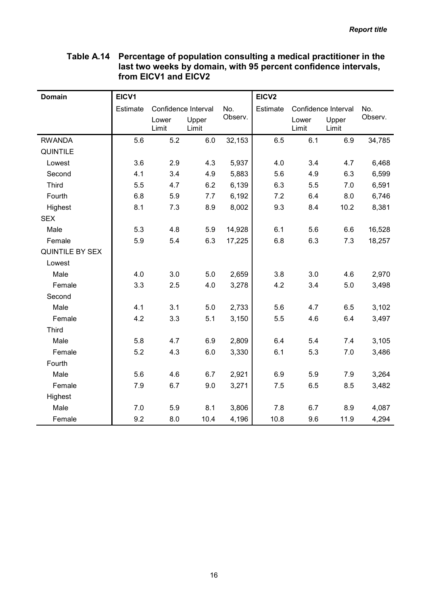### Table A.14 Percentage of population consulting a medical practitioner in the last two weeks by domain, with 95 percent confidence intervals, from EICV1 and EICV2

| <b>Domain</b>   | EICV1    |                |                     |         | EICV <sub>2</sub> |                |                     |         |
|-----------------|----------|----------------|---------------------|---------|-------------------|----------------|---------------------|---------|
|                 | Estimate |                | Confidence Interval | No.     | Estimate          |                | Confidence Interval | No.     |
|                 |          | Lower<br>Limit | Upper<br>Limit      | Observ. |                   | Lower<br>Limit | Upper<br>Limit      | Observ. |
| <b>RWANDA</b>   | 5.6      | 5.2            | 6.0                 | 32,153  | 6.5               | 6.1            | 6.9                 | 34,785  |
| <b>QUINTILE</b> |          |                |                     |         |                   |                |                     |         |
| Lowest          | 3.6      | 2.9            | 4.3                 | 5,937   | 4.0               | 3.4            | 4.7                 | 6,468   |
| Second          | 4.1      | 3.4            | 4.9                 | 5,883   | 5.6               | 4.9            | 6.3                 | 6,599   |
| <b>Third</b>    | 5.5      | 4.7            | 6.2                 | 6,139   | 6.3               | 5.5            | 7.0                 | 6,591   |
| Fourth          | 6.8      | 5.9            | 7.7                 | 6,192   | 7.2               | 6.4            | 8.0                 | 6,746   |
| Highest         | 8.1      | 7.3            | 8.9                 | 8,002   | 9.3               | 8.4            | 10.2                | 8,381   |
| <b>SEX</b>      |          |                |                     |         |                   |                |                     |         |
| Male            | 5.3      | 4.8            | 5.9                 | 14,928  | 6.1               | 5.6            | 6.6                 | 16,528  |
| Female          | 5.9      | 5.4            | 6.3                 | 17,225  | 6.8               | 6.3            | 7.3                 | 18,257  |
| QUINTILE BY SEX |          |                |                     |         |                   |                |                     |         |
| Lowest          |          |                |                     |         |                   |                |                     |         |
| Male            | 4.0      | 3.0            | 5.0                 | 2,659   | 3.8               | 3.0            | 4.6                 | 2,970   |
| Female          | 3.3      | 2.5            | 4.0                 | 3,278   | 4.2               | 3.4            | 5.0                 | 3,498   |
| Second          |          |                |                     |         |                   |                |                     |         |
| Male            | 4.1      | 3.1            | 5.0                 | 2,733   | 5.6               | 4.7            | 6.5                 | 3,102   |
| Female          | 4.2      | 3.3            | 5.1                 | 3,150   | 5.5               | 4.6            | 6.4                 | 3,497   |
| <b>Third</b>    |          |                |                     |         |                   |                |                     |         |
| Male            | 5.8      | 4.7            | 6.9                 | 2,809   | 6.4               | 5.4            | 7.4                 | 3,105   |
| Female          | 5.2      | 4.3            | 6.0                 | 3,330   | 6.1               | 5.3            | 7.0                 | 3,486   |
| Fourth          |          |                |                     |         |                   |                |                     |         |
| Male            | 5.6      | 4.6            | 6.7                 | 2,921   | 6.9               | 5.9            | 7.9                 | 3,264   |
| Female          | 7.9      | 6.7            | 9.0                 | 3,271   | 7.5               | 6.5            | 8.5                 | 3,482   |
| Highest         |          |                |                     |         |                   |                |                     |         |
| Male            | 7.0      | 5.9            | 8.1                 | 3,806   | 7.8               | 6.7            | 8.9                 | 4,087   |
| Female          | 9.2      | 8.0            | 10.4                | 4,196   | 10.8              | 9.6            | 11.9                | 4,294   |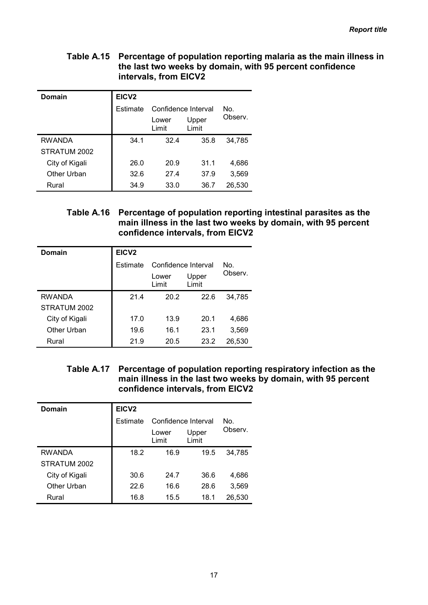#### Table A.15 Percentage of population reporting malaria as the main illness in the last two weeks by domain, with 95 percent confidence intervals, from EICV2

| Domain         | EICV <sub>2</sub> |                     |                |         |  |  |  |  |  |
|----------------|-------------------|---------------------|----------------|---------|--|--|--|--|--|
|                | Estimate          | Confidence Interval |                | No.     |  |  |  |  |  |
|                |                   | Lower<br>Limit      | Upper<br>Limit | Observ. |  |  |  |  |  |
| RWANDA         | 34.1              | 32.4                | 35.8           | 34,785  |  |  |  |  |  |
| STRATUM 2002   |                   |                     |                |         |  |  |  |  |  |
| City of Kigali | 26.0              | 20.9                | 31.1           | 4,686   |  |  |  |  |  |
| Other Urban    | 32.6              | 27.4                | 37.9           | 3,569   |  |  |  |  |  |
| Rural          | 34.9              | 33.0                | 36.7           | 26,530  |  |  |  |  |  |

### Table A.16 Percentage of population reporting intestinal parasites as the main illness in the last two weeks by domain, with 95 percent confidence intervals, from EICV2

| Domain         | EICV <sub>2</sub> |                                  |      |         |  |  |  |
|----------------|-------------------|----------------------------------|------|---------|--|--|--|
|                | Estimate          | Confidence Interval<br>No.       |      |         |  |  |  |
|                |                   | Upper<br>Lower<br>Limit<br>Limit |      | Observ. |  |  |  |
| <b>RWANDA</b>  | 21.4              | 20.2                             | 22.6 | 34,785  |  |  |  |
| STRATUM 2002   |                   |                                  |      |         |  |  |  |
| City of Kigali | 17.0              | 13.9                             | 20.1 | 4,686   |  |  |  |
| Other Urban    | 19.6              | 16.1                             | 23.1 | 3,569   |  |  |  |
| Rural          | 21.9              | 20.5                             | 23.2 | 26,530  |  |  |  |

Table A.17 Percentage of population reporting respiratory infection as the main illness in the last two weeks by domain, with 95 percent confidence intervals, from EICV2

| Domain         | EICV <sub>2</sub> |                     |                |        |
|----------------|-------------------|---------------------|----------------|--------|
|                | Estimate          | Confidence Interval |                | No.    |
|                |                   | Lower<br>Limit      | Upper<br>Limit |        |
| <b>RWANDA</b>  | 18.2              | 16.9                | 19.5           | 34,785 |
| STRATUM 2002   |                   |                     |                |        |
| City of Kigali | 30.6              | 24.7                | 36.6           | 4,686  |
| Other Urban    | 22.6              | 16.6                | 28.6           | 3,569  |
| Rural          | 16.8              | 15.5                | 18.1           | 26,530 |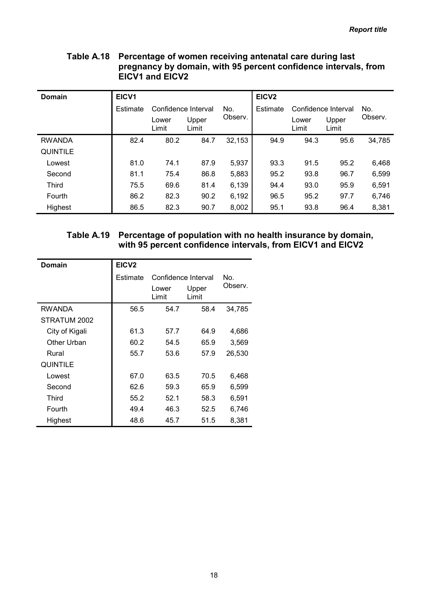### Table A.18 Percentage of women receiving antenatal care during last pregnancy by domain, with 95 percent confidence intervals, from EICV1 and EICV2

| Domain          | EICV1    |                |                            |         | EICV <sub>2</sub> |                |                     |         |
|-----------------|----------|----------------|----------------------------|---------|-------------------|----------------|---------------------|---------|
|                 | Estimate |                | Confidence Interval<br>No. |         | Estimate          |                | Confidence Interval | No.     |
|                 |          | Lower<br>Limit | Upper<br>Limit             | Observ. |                   | Lower<br>Limit | Upper<br>Limit      | Observ. |
| <b>RWANDA</b>   | 82.4     | 80.2           | 84.7                       | 32,153  | 94.9              | 94.3           | 95.6                | 34,785  |
| <b>QUINTILE</b> |          |                |                            |         |                   |                |                     |         |
| Lowest          | 81.0     | 74.1           | 87.9                       | 5,937   | 93.3              | 91.5           | 95.2                | 6,468   |
| Second          | 81.1     | 75.4           | 86.8                       | 5,883   | 95.2              | 93.8           | 96.7                | 6,599   |
| <b>Third</b>    | 75.5     | 69.6           | 81.4                       | 6,139   | 94.4              | 93.0           | 95.9                | 6,591   |
| Fourth          | 86.2     | 82.3           | 90.2                       | 6,192   | 96.5              | 95.2           | 97.7                | 6,746   |
| Highest         | 86.5     | 82.3           | 90.7                       | 8,002   | 95.1              | 93.8           | 96.4                | 8,381   |

### Table A.19 Percentage of population with no health insurance by domain, with 95 percent confidence intervals, from EICV1 and EICV2

| Domain          | EICV <sub>2</sub> |                     |                |         |
|-----------------|-------------------|---------------------|----------------|---------|
|                 | Estimate          | Confidence Interval |                | No.     |
|                 |                   | Lower<br>Limit      | Upper<br>Limit | Observ. |
| RWANDA          | 56.5              | 54.7                | 58.4           | 34,785  |
| STRATUM 2002    |                   |                     |                |         |
| City of Kigali  | 61.3              | 57.7                | 64.9           | 4,686   |
| Other Urban     | 60.2              | 54.5                | 65.9           | 3,569   |
| Rural           | 55.7              | 53.6                | 57.9           | 26,530  |
| <b>QUINTILE</b> |                   |                     |                |         |
| Lowest          | 67.0              | 63.5                | 70.5           | 6,468   |
| Second          | 62.6              | 59.3                | 65.9           | 6,599   |
| Third           | 55.2              | 52.1                | 58.3           | 6,591   |
| Fourth          | 49.4              | 46.3                | 52.5           | 6,746   |
| Highest         | 48.6              | 45.7                | 51.5           | 8,381   |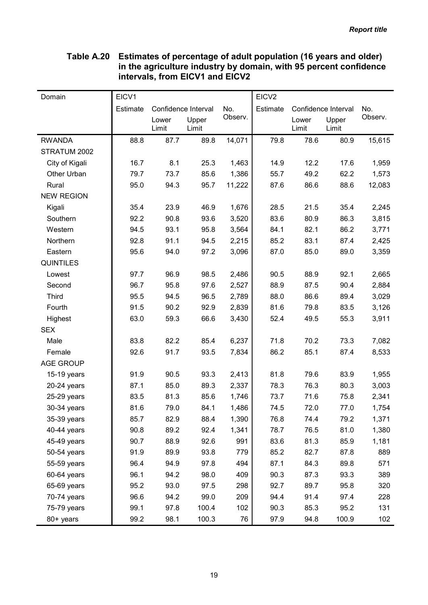# Table A.20 Estimates of percentage of adult population (16 years and older) in the agriculture industry by domain, with 95 percent confidence intervals, from EICV1 and EICV2

| Domain            | EICV1    |                     |       |         | EICV <sub>2</sub> |       |                     |         |
|-------------------|----------|---------------------|-------|---------|-------------------|-------|---------------------|---------|
|                   | Estimate | Confidence Interval |       | No.     | Estimate          |       | Confidence Interval | No.     |
|                   |          | Lower               | Upper | Observ. |                   | Lower | Upper               | Observ. |
|                   |          | Limit               | Limit |         |                   | Limit | Limit               |         |
| <b>RWANDA</b>     | 88.8     | 87.7                | 89.8  | 14,071  | 79.8              | 78.6  | 80.9                | 15,615  |
| STRATUM 2002      |          |                     |       |         |                   |       |                     |         |
| City of Kigali    | 16.7     | 8.1                 | 25.3  | 1,463   | 14.9              | 12.2  | 17.6                | 1,959   |
| Other Urban       | 79.7     | 73.7                | 85.6  | 1,386   | 55.7              | 49.2  | 62.2                | 1,573   |
| Rural             | 95.0     | 94.3                | 95.7  | 11,222  | 87.6              | 86.6  | 88.6                | 12,083  |
| <b>NEW REGION</b> |          |                     |       |         |                   |       |                     |         |
| Kigali            | 35.4     | 23.9                | 46.9  | 1,676   | 28.5              | 21.5  | 35.4                | 2,245   |
| Southern          | 92.2     | 90.8                | 93.6  | 3,520   | 83.6              | 80.9  | 86.3                | 3,815   |
| Western           | 94.5     | 93.1                | 95.8  | 3,564   | 84.1              | 82.1  | 86.2                | 3,771   |
| Northern          | 92.8     | 91.1                | 94.5  | 2,215   | 85.2              | 83.1  | 87.4                | 2,425   |
| Eastern           | 95.6     | 94.0                | 97.2  | 3,096   | 87.0              | 85.0  | 89.0                | 3,359   |
| <b>QUINTILES</b>  |          |                     |       |         |                   |       |                     |         |
| Lowest            | 97.7     | 96.9                | 98.5  | 2,486   | 90.5              | 88.9  | 92.1                | 2,665   |
| Second            | 96.7     | 95.8                | 97.6  | 2,527   | 88.9              | 87.5  | 90.4                | 2,884   |
| <b>Third</b>      | 95.5     | 94.5                | 96.5  | 2,789   | 88.0              | 86.6  | 89.4                | 3,029   |
| Fourth            | 91.5     | 90.2                | 92.9  | 2,839   | 81.6              | 79.8  | 83.5                | 3,126   |
| Highest           | 63.0     | 59.3                | 66.6  | 3,430   | 52.4              | 49.5  | 55.3                | 3,911   |
| <b>SEX</b>        |          |                     |       |         |                   |       |                     |         |
| Male              | 83.8     | 82.2                | 85.4  | 6,237   | 71.8              | 70.2  | 73.3                | 7,082   |
| Female            | 92.6     | 91.7                | 93.5  | 7,834   | 86.2              | 85.1  | 87.4                | 8,533   |
| <b>AGE GROUP</b>  |          |                     |       |         |                   |       |                     |         |
| 15-19 years       | 91.9     | 90.5                | 93.3  | 2,413   | 81.8              | 79.6  | 83.9                | 1,955   |
| $20-24$ years     | 87.1     | 85.0                | 89.3  | 2,337   | 78.3              | 76.3  | 80.3                | 3,003   |
| 25-29 years       | 83.5     | 81.3                | 85.6  | 1,746   | 73.7              | 71.6  | 75.8                | 2,341   |
| 30-34 years       | 81.6     | 79.0                | 84.1  | 1,486   | 74.5              | 72.0  | 77.0                | 1,754   |
| 35-39 years       | 85.7     | 82.9                | 88.4  | 1,390   | 76.8              | 74.4  | 79.2                | 1,371   |
| 40-44 years       | 90.8     | 89.2                | 92.4  | 1,341   | 78.7              | 76.5  | 81.0                | 1,380   |
| 45-49 years       | 90.7     | 88.9                | 92.6  | 991     | 83.6              | 81.3  | 85.9                | 1,181   |
| 50-54 years       | 91.9     | 89.9                | 93.8  | 779     | 85.2              | 82.7  | 87.8                | 889     |
| 55-59 years       | 96.4     | 94.9                | 97.8  | 494     | 87.1              | 84.3  | 89.8                | 571     |
| 60-64 years       | 96.1     | 94.2                | 98.0  | 409     | 90.3              | 87.3  | 93.3                | 389     |
| 65-69 years       | 95.2     | 93.0                | 97.5  | 298     | 92.7              | 89.7  | 95.8                | 320     |
| 70-74 years       | 96.6     | 94.2                | 99.0  | 209     | 94.4              | 91.4  | 97.4                | 228     |
| 75-79 years       | 99.1     | 97.8                | 100.4 | 102     | 90.3              | 85.3  | 95.2                | 131     |
| 80+ years         | 99.2     | 98.1                | 100.3 | 76      | 97.9              | 94.8  | 100.9               | 102     |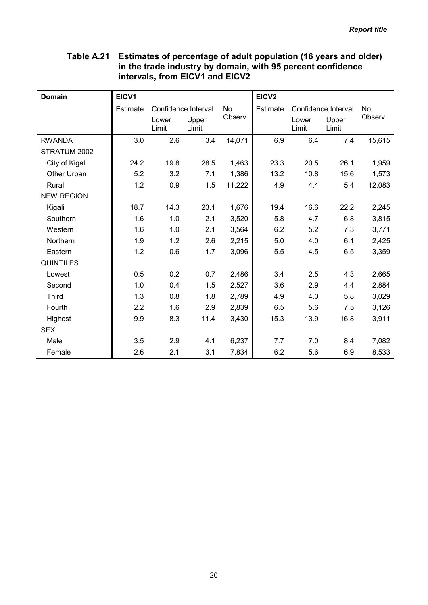| <b>Domain</b>     | EICV1    |                     |                |         | EICV <sub>2</sub> |                |                     |         |
|-------------------|----------|---------------------|----------------|---------|-------------------|----------------|---------------------|---------|
|                   | Estimate | Confidence Interval |                | No.     | Estimate          |                | Confidence Interval | No.     |
|                   |          | Lower<br>Limit      | Upper<br>Limit | Observ. |                   | Lower<br>Limit | Upper<br>Limit      | Observ. |
| <b>RWANDA</b>     | 3.0      | 2.6                 | 3.4            | 14,071  | 6.9               | 6.4            | 7.4                 | 15,615  |
| STRATUM 2002      |          |                     |                |         |                   |                |                     |         |
| City of Kigali    | 24.2     | 19.8                | 28.5           | 1,463   | 23.3              | 20.5           | 26.1                | 1,959   |
| Other Urban       | 5.2      | 3.2                 | 7.1            | 1,386   | 13.2              | 10.8           | 15.6                | 1,573   |
| Rural             | 1.2      | 0.9                 | 1.5            | 11,222  | 4.9               | 4.4            | 5.4                 | 12,083  |
| <b>NEW REGION</b> |          |                     |                |         |                   |                |                     |         |
| Kigali            | 18.7     | 14.3                | 23.1           | 1,676   | 19.4              | 16.6           | 22.2                | 2,245   |
| Southern          | 1.6      | 1.0                 | 2.1            | 3,520   | 5.8               | 4.7            | 6.8                 | 3,815   |
| Western           | 1.6      | 1.0                 | 2.1            | 3,564   | 6.2               | 5.2            | 7.3                 | 3,771   |
| Northern          | 1.9      | 1.2                 | 2.6            | 2,215   | 5.0               | 4.0            | 6.1                 | 2,425   |
| Eastern           | 1.2      | 0.6                 | 1.7            | 3,096   | 5.5               | 4.5            | 6.5                 | 3,359   |
| <b>QUINTILES</b>  |          |                     |                |         |                   |                |                     |         |
| Lowest            | 0.5      | 0.2                 | 0.7            | 2,486   | 3.4               | 2.5            | 4.3                 | 2,665   |
| Second            | 1.0      | 0.4                 | 1.5            | 2,527   | 3.6               | 2.9            | 4.4                 | 2,884   |
| <b>Third</b>      | 1.3      | 0.8                 | 1.8            | 2,789   | 4.9               | 4.0            | 5.8                 | 3,029   |
| Fourth            | 2.2      | 1.6                 | 2.9            | 2,839   | 6.5               | 5.6            | 7.5                 | 3,126   |
| Highest           | 9.9      | 8.3                 | 11.4           | 3,430   | 15.3              | 13.9           | 16.8                | 3,911   |
| <b>SEX</b>        |          |                     |                |         |                   |                |                     |         |
| Male              | 3.5      | 2.9                 | 4.1            | 6,237   | 7.7               | 7.0            | 8.4                 | 7,082   |
| Female            | 2.6      | 2.1                 | 3.1            | 7,834   | 6.2               | 5.6            | 6.9                 | 8,533   |

# Table A.21 Estimates of percentage of adult population (16 years and older) in the trade industry by domain, with 95 percent confidence intervals, from EICV1 and EICV2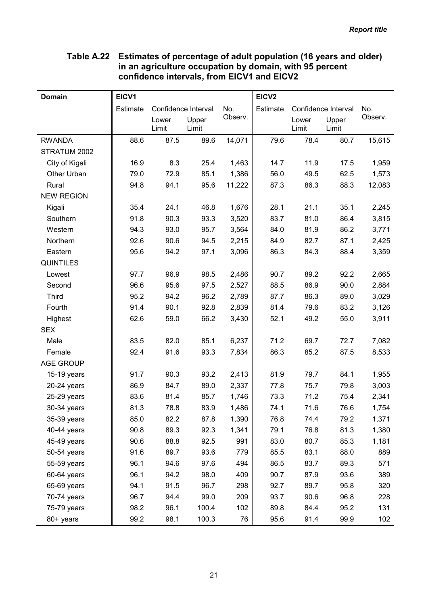### Table A.22 Estimates of percentage of adult population (16 years and older) in an agriculture occupation by domain, with 95 percent confidence intervals, from EICV1 and EICV2

| <b>Domain</b>     | EICV1    |       |                     |         | EICV <sub>2</sub> |       |                     |         |
|-------------------|----------|-------|---------------------|---------|-------------------|-------|---------------------|---------|
|                   | Estimate |       | Confidence Interval | No.     | Estimate          |       | Confidence Interval | No.     |
|                   |          | Lower | Upper               | Observ. |                   | Lower | Upper               | Observ. |
|                   |          | Limit | Limit               |         |                   | Limit | Limit               |         |
| <b>RWANDA</b>     | 88.6     | 87.5  | 89.6                | 14,071  | 79.6              | 78.4  | 80.7                | 15,615  |
| STRATUM 2002      |          |       |                     |         |                   |       |                     |         |
| City of Kigali    | 16.9     | 8.3   | 25.4                | 1,463   | 14.7              | 11.9  | 17.5                | 1,959   |
| Other Urban       | 79.0     | 72.9  | 85.1                | 1,386   | 56.0              | 49.5  | 62.5                | 1,573   |
| Rural             | 94.8     | 94.1  | 95.6                | 11,222  | 87.3              | 86.3  | 88.3                | 12,083  |
| <b>NEW REGION</b> |          |       |                     |         |                   |       |                     |         |
| Kigali            | 35.4     | 24.1  | 46.8                | 1,676   | 28.1              | 21.1  | 35.1                | 2,245   |
| Southern          | 91.8     | 90.3  | 93.3                | 3,520   | 83.7              | 81.0  | 86.4                | 3,815   |
| Western           | 94.3     | 93.0  | 95.7                | 3,564   | 84.0              | 81.9  | 86.2                | 3,771   |
| Northern          | 92.6     | 90.6  | 94.5                | 2,215   | 84.9              | 82.7  | 87.1                | 2,425   |
| Eastern           | 95.6     | 94.2  | 97.1                | 3,096   | 86.3              | 84.3  | 88.4                | 3,359   |
| <b>QUINTILES</b>  |          |       |                     |         |                   |       |                     |         |
| Lowest            | 97.7     | 96.9  | 98.5                | 2,486   | 90.7              | 89.2  | 92.2                | 2,665   |
| Second            | 96.6     | 95.6  | 97.5                | 2,527   | 88.5              | 86.9  | 90.0                | 2,884   |
| <b>Third</b>      | 95.2     | 94.2  | 96.2                | 2,789   | 87.7              | 86.3  | 89.0                | 3,029   |
| Fourth            | 91.4     | 90.1  | 92.8                | 2,839   | 81.4              | 79.6  | 83.2                | 3,126   |
| Highest           | 62.6     | 59.0  | 66.2                | 3,430   | 52.1              | 49.2  | 55.0                | 3,911   |
| <b>SEX</b>        |          |       |                     |         |                   |       |                     |         |
| Male              | 83.5     | 82.0  | 85.1                | 6,237   | 71.2              | 69.7  | 72.7                | 7,082   |
| Female            | 92.4     | 91.6  | 93.3                | 7,834   | 86.3              | 85.2  | 87.5                | 8,533   |
| <b>AGE GROUP</b>  |          |       |                     |         |                   |       |                     |         |
| 15-19 years       | 91.7     | 90.3  | 93.2                | 2,413   | 81.9              | 79.7  | 84.1                | 1,955   |
| 20-24 years       | 86.9     | 84.7  | 89.0                | 2,337   | 77.8              | 75.7  | 79.8                | 3,003   |
| 25-29 years       | 83.6     | 81.4  | 85.7                | 1,746   | 73.3              | 71.2  | 75.4                | 2,341   |
| 30-34 years       | 81.3     | 78.8  | 83.9                | 1,486   | 74.1              | 71.6  | 76.6                | 1,754   |
| 35-39 years       | 85.0     | 82.2  | 87.8                | 1,390   | 76.8              | 74.4  | 79.2                | 1,371   |
| 40-44 years       | 90.8     | 89.3  | 92.3                | 1,341   | 79.1              | 76.8  | 81.3                | 1,380   |
| 45-49 years       | 90.6     | 88.8  | 92.5                | 991     | 83.0              | 80.7  | 85.3                | 1,181   |
| 50-54 years       | 91.6     | 89.7  | 93.6                | 779     | 85.5              | 83.1  | 88.0                | 889     |
| 55-59 years       | 96.1     | 94.6  | 97.6                | 494     | 86.5              | 83.7  | 89.3                | 571     |
| 60-64 years       | 96.1     | 94.2  | 98.0                | 409     | 90.7              | 87.9  | 93.6                | 389     |
| 65-69 years       | 94.1     | 91.5  | 96.7                | 298     | 92.7              | 89.7  | 95.8                | 320     |
| 70-74 years       | 96.7     | 94.4  | 99.0                | 209     | 93.7              | 90.6  | 96.8                | 228     |
| 75-79 years       | 98.2     | 96.1  | 100.4               | 102     | 89.8              | 84.4  | 95.2                | 131     |
| 80+ years         | 99.2     | 98.1  | 100.3               | 76      | 95.6              | 91.4  | 99.9                | 102     |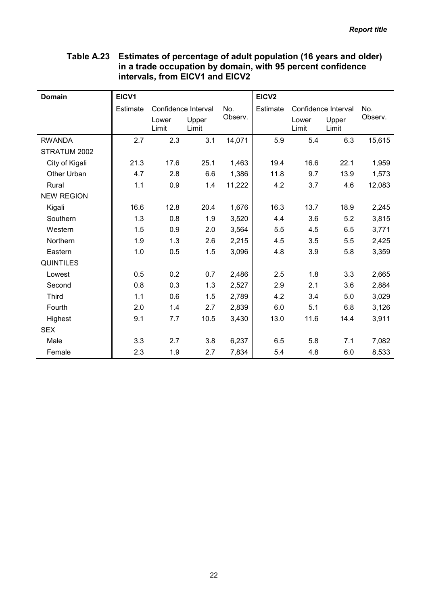| <b>Domain</b>     | EICV1    |                     |                |         | EICV <sub>2</sub> |                |                     |         |
|-------------------|----------|---------------------|----------------|---------|-------------------|----------------|---------------------|---------|
|                   | Estimate | Confidence Interval |                | No.     | Estimate          |                | Confidence Interval | No.     |
|                   |          | Lower<br>Limit      | Upper<br>Limit | Observ. |                   | Lower<br>Limit | Upper<br>Limit      | Observ. |
| <b>RWANDA</b>     | 2.7      | 2.3                 | 3.1            | 14,071  | 5.9               | 5.4            | 6.3                 | 15,615  |
| STRATUM 2002      |          |                     |                |         |                   |                |                     |         |
| City of Kigali    | 21.3     | 17.6                | 25.1           | 1,463   | 19.4              | 16.6           | 22.1                | 1,959   |
| Other Urban       | 4.7      | 2.8                 | 6.6            | 1,386   | 11.8              | 9.7            | 13.9                | 1,573   |
| Rural             | 1.1      | 0.9                 | 1.4            | 11,222  | 4.2               | 3.7            | 4.6                 | 12,083  |
| <b>NEW REGION</b> |          |                     |                |         |                   |                |                     |         |
| Kigali            | 16.6     | 12.8                | 20.4           | 1,676   | 16.3              | 13.7           | 18.9                | 2,245   |
| Southern          | 1.3      | 0.8                 | 1.9            | 3,520   | 4.4               | 3.6            | 5.2                 | 3,815   |
| Western           | 1.5      | 0.9                 | 2.0            | 3,564   | 5.5               | 4.5            | 6.5                 | 3,771   |
| Northern          | 1.9      | 1.3                 | 2.6            | 2,215   | 4.5               | 3.5            | 5.5                 | 2,425   |
| Eastern           | 1.0      | 0.5                 | 1.5            | 3,096   | 4.8               | 3.9            | 5.8                 | 3,359   |
| <b>QUINTILES</b>  |          |                     |                |         |                   |                |                     |         |
| Lowest            | 0.5      | 0.2                 | 0.7            | 2,486   | 2.5               | 1.8            | 3.3                 | 2,665   |
| Second            | 0.8      | 0.3                 | 1.3            | 2,527   | 2.9               | 2.1            | 3.6                 | 2,884   |
| <b>Third</b>      | 1.1      | 0.6                 | 1.5            | 2,789   | 4.2               | 3.4            | 5.0                 | 3,029   |
| Fourth            | 2.0      | 1.4                 | 2.7            | 2,839   | 6.0               | 5.1            | 6.8                 | 3,126   |
| Highest           | 9.1      | 7.7                 | 10.5           | 3,430   | 13.0              | 11.6           | 14.4                | 3,911   |
| <b>SEX</b>        |          |                     |                |         |                   |                |                     |         |
| Male              | 3.3      | 2.7                 | 3.8            | 6,237   | 6.5               | 5.8            | 7.1                 | 7,082   |
| Female            | 2.3      | 1.9                 | 2.7            | 7,834   | 5.4               | 4.8            | 6.0                 | 8,533   |

# Table A.23 Estimates of percentage of adult population (16 years and older) in a trade occupation by domain, with 95 percent confidence intervals, from EICV1 and EICV2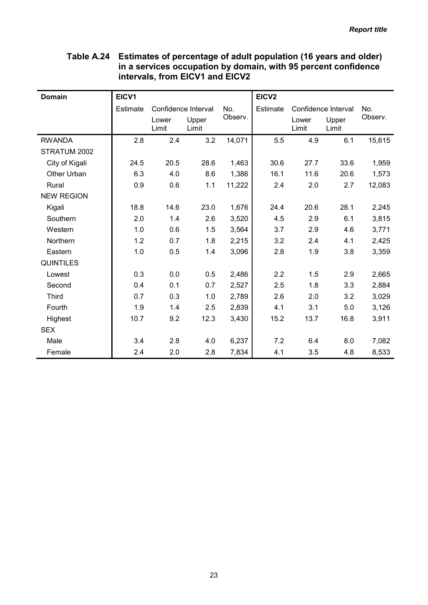| <b>Domain</b>     | EICV1    |                |                     |         | EICV <sub>2</sub> |                     |                |         |
|-------------------|----------|----------------|---------------------|---------|-------------------|---------------------|----------------|---------|
|                   | Estimate |                | Confidence Interval | No.     | Estimate          | Confidence Interval |                | No.     |
|                   |          | Lower<br>Limit | Upper<br>Limit      | Observ. |                   | Lower<br>Limit      | Upper<br>Limit | Observ. |
| <b>RWANDA</b>     | 2.8      | 2.4            | 3.2                 | 14,071  | 5.5               | 4.9                 | 6.1            | 15,615  |
| STRATUM 2002      |          |                |                     |         |                   |                     |                |         |
| City of Kigali    | 24.5     | 20.5           | 28.6                | 1,463   | 30.6              | 27.7                | 33.6           | 1,959   |
| Other Urban       | 6.3      | 4.0            | 8.6                 | 1,386   | 16.1              | 11.6                | 20.6           | 1,573   |
| Rural             | 0.9      | 0.6            | 1.1                 | 11,222  | 2.4               | 2.0                 | 2.7            | 12,083  |
| <b>NEW REGION</b> |          |                |                     |         |                   |                     |                |         |
| Kigali            | 18.8     | 14.6           | 23.0                | 1,676   | 24.4              | 20.6                | 28.1           | 2,245   |
| Southern          | 2.0      | 1.4            | 2.6                 | 3,520   | 4.5               | 2.9                 | 6.1            | 3,815   |
| Western           | 1.0      | 0.6            | 1.5                 | 3,564   | 3.7               | 2.9                 | 4.6            | 3,771   |
| Northern          | 1.2      | 0.7            | 1.8                 | 2,215   | 3.2               | 2.4                 | 4.1            | 2,425   |
| Eastern           | 1.0      | 0.5            | 1.4                 | 3,096   | 2.8               | 1.9                 | 3.8            | 3,359   |
| <b>QUINTILES</b>  |          |                |                     |         |                   |                     |                |         |
| Lowest            | 0.3      | 0.0            | 0.5                 | 2,486   | 2.2               | 1.5                 | 2.9            | 2,665   |
| Second            | 0.4      | 0.1            | 0.7                 | 2,527   | 2.5               | 1.8                 | 3.3            | 2,884   |
| <b>Third</b>      | 0.7      | 0.3            | 1.0                 | 2,789   | 2.6               | 2.0                 | 3.2            | 3,029   |
| Fourth            | 1.9      | 1.4            | 2.5                 | 2,839   | 4.1               | 3.1                 | 5.0            | 3,126   |
| Highest           | 10.7     | 9.2            | 12.3                | 3,430   | 15.2              | 13.7                | 16.8           | 3,911   |
| <b>SEX</b>        |          |                |                     |         |                   |                     |                |         |
| Male              | 3.4      | 2.8            | 4.0                 | 6,237   | 7.2               | 6.4                 | 8.0            | 7,082   |
| Female            | 2.4      | 2.0            | 2.8                 | 7,834   | 4.1               | 3.5                 | 4.8            | 8,533   |

# Table A.24 Estimates of percentage of adult population (16 years and older) in a services occupation by domain, with 95 percent confidence intervals, from EICV1 and EICV2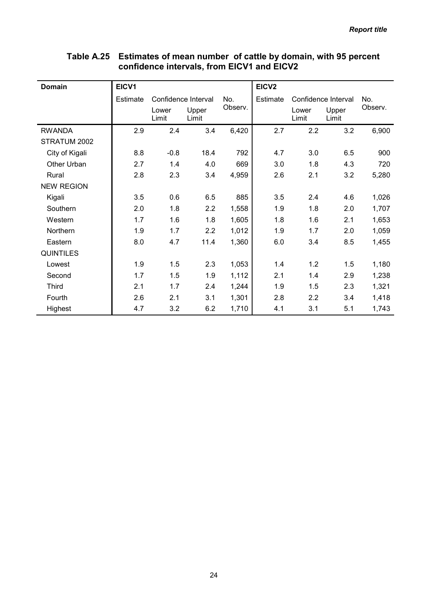| <b>Domain</b>     | EICV1           |                     |                |         | EICV <sub>2</sub> |                     |                |         |
|-------------------|-----------------|---------------------|----------------|---------|-------------------|---------------------|----------------|---------|
|                   | <b>Estimate</b> | Confidence Interval |                | No.     | Estimate          | Confidence Interval |                | No.     |
|                   |                 | Lower<br>Limit      | Upper<br>Limit | Observ. |                   | Lower<br>Limit      | Upper<br>Limit | Observ. |
| <b>RWANDA</b>     | 2.9             | 2.4                 | 3.4            | 6,420   | 2.7               | 2.2                 | 3.2            | 6,900   |
| STRATUM 2002      |                 |                     |                |         |                   |                     |                |         |
| City of Kigali    | 8.8             | $-0.8$              | 18.4           | 792     | 4.7               | 3.0                 | 6.5            | 900     |
| Other Urban       | 2.7             | 1.4                 | 4.0            | 669     | 3.0               | 1.8                 | 4.3            | 720     |
| Rural             | 2.8             | 2.3                 | 3.4            | 4,959   | 2.6               | 2.1                 | 3.2            | 5,280   |
| <b>NEW REGION</b> |                 |                     |                |         |                   |                     |                |         |
| Kigali            | 3.5             | 0.6                 | 6.5            | 885     | 3.5               | 2.4                 | 4.6            | 1,026   |
| Southern          | 2.0             | 1.8                 | 2.2            | 1,558   | 1.9               | 1.8                 | 2.0            | 1,707   |
| Western           | 1.7             | 1.6                 | 1.8            | 1,605   | 1.8               | 1.6                 | 2.1            | 1,653   |
| Northern          | 1.9             | 1.7                 | 2.2            | 1,012   | 1.9               | 1.7                 | 2.0            | 1,059   |
| Eastern           | 8.0             | 4.7                 | 11.4           | 1,360   | 6.0               | 3.4                 | 8.5            | 1,455   |
| <b>QUINTILES</b>  |                 |                     |                |         |                   |                     |                |         |
| Lowest            | 1.9             | 1.5                 | 2.3            | 1,053   | 1.4               | 1.2                 | 1.5            | 1,180   |
| Second            | 1.7             | 1.5                 | 1.9            | 1,112   | 2.1               | 1.4                 | 2.9            | 1,238   |
| <b>Third</b>      | 2.1             | 1.7                 | 2.4            | 1,244   | 1.9               | 1.5                 | 2.3            | 1,321   |
| Fourth            | 2.6             | 2.1                 | 3.1            | 1,301   | 2.8               | 2.2                 | 3.4            | 1,418   |
| Highest           | 4.7             | 3.2                 | 6.2            | 1,710   | 4.1               | 3.1                 | 5.1            | 1,743   |

### Table A.25 Estimates of mean number of cattle by domain, with 95 percent confidence intervals, from EICV1 and EICV2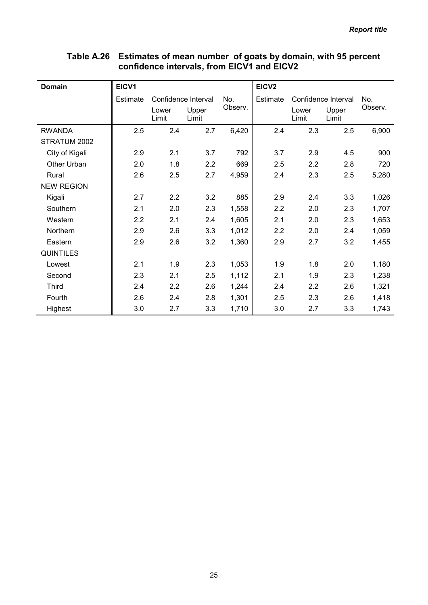| <b>Domain</b>     | EICV1           |                     |                |         | EICV <sub>2</sub> |                     |                |         |
|-------------------|-----------------|---------------------|----------------|---------|-------------------|---------------------|----------------|---------|
|                   | <b>Estimate</b> | Confidence Interval |                | No.     | Estimate          | Confidence Interval |                | No.     |
|                   |                 | Lower<br>Limit      | Upper<br>Limit | Observ. |                   | Lower<br>Limit      | Upper<br>Limit | Observ. |
| <b>RWANDA</b>     | 2.5             | 2.4                 | 2.7            | 6,420   | 2.4               | 2.3                 | 2.5            | 6,900   |
| STRATUM 2002      |                 |                     |                |         |                   |                     |                |         |
| City of Kigali    | 2.9             | 2.1                 | 3.7            | 792     | 3.7               | 2.9                 | 4.5            | 900     |
| Other Urban       | 2.0             | 1.8                 | 2.2            | 669     | 2.5               | 2.2                 | 2.8            | 720     |
| Rural             | 2.6             | 2.5                 | 2.7            | 4,959   | 2.4               | 2.3                 | 2.5            | 5,280   |
| <b>NEW REGION</b> |                 |                     |                |         |                   |                     |                |         |
| Kigali            | 2.7             | 2.2                 | 3.2            | 885     | 2.9               | 2.4                 | 3.3            | 1,026   |
| Southern          | 2.1             | 2.0                 | 2.3            | 1,558   | 2.2               | 2.0                 | 2.3            | 1,707   |
| Western           | 2.2             | 2.1                 | 2.4            | 1,605   | 2.1               | 2.0                 | 2.3            | 1,653   |
| Northern          | 2.9             | 2.6                 | 3.3            | 1,012   | 2.2               | 2.0                 | 2.4            | 1,059   |
| Eastern           | 2.9             | 2.6                 | 3.2            | 1,360   | 2.9               | 2.7                 | 3.2            | 1,455   |
| <b>QUINTILES</b>  |                 |                     |                |         |                   |                     |                |         |
| Lowest            | 2.1             | 1.9                 | 2.3            | 1,053   | 1.9               | 1.8                 | 2.0            | 1,180   |
| Second            | 2.3             | 2.1                 | 2.5            | 1,112   | 2.1               | 1.9                 | 2.3            | 1,238   |
| <b>Third</b>      | 2.4             | 2.2                 | 2.6            | 1,244   | 2.4               | 2.2                 | 2.6            | 1,321   |
| Fourth            | 2.6             | 2.4                 | 2.8            | 1,301   | 2.5               | 2.3                 | 2.6            | 1,418   |
| Highest           | 3.0             | 2.7                 | 3.3            | 1,710   | 3.0               | 2.7                 | 3.3            | 1,743   |

### Table A.26 Estimates of mean number of goats by domain, with 95 percent confidence intervals, from EICV1 and EICV2